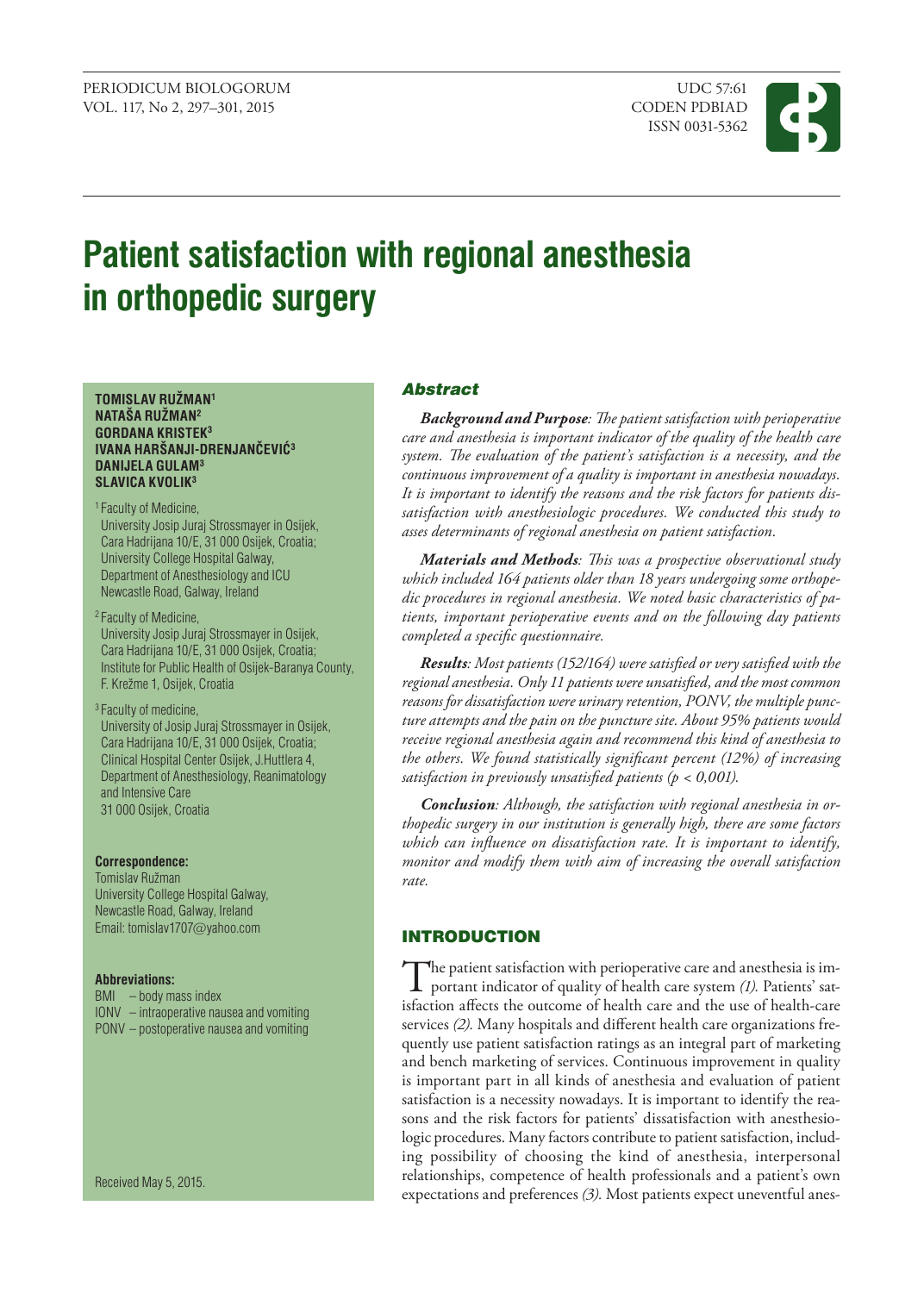ISSN 0031-5362



# **Patient satisfaction with regional anesthesia in orthopedic surgery**

**TOMISLAV RUŽMAN<sup>1</sup> NATAŠA RUŽMAN<sup>2</sup> GORDANA KRISTEK<sup>3</sup> IVANA HARŠANJI-DRENJANČEVIĆ<sup>3</sup> DANIJELA GULAM<sup>3</sup> SLAVICA KVOLIK<sup>3</sup>**

1 Faculty of Medicine,

University Josip Juraj Strossmayer in Osijek, Cara Hadrijana 10/E, 31 000 Osijek, Croatia; University College Hospital Galway, Department of Anesthesiology and ICU Newcastle Road, Galway, Ireland

2 Faculty of Medicine, University Josip Juraj Strossmayer in Osijek, Cara Hadrijana 10/E, 31 000 Osijek, Croatia; Institute for Public Health of Osijek-Baranya County, F. Krežme 1, Osijek, Croatia

3 Faculty of medicine, University of Josip Juraj Strossmayer in Osijek, Cara Hadrijana 10/E, 31 000 Osijek, Croatia; Clinical Hospital Center Osijek, J.Huttlera 4, Department of Anesthesiology, Reanimatology and Intensive Care 31 000 Osijek, Croatia

#### **Correspondence:**

**Tomislav Ružman** University College Hospital Galway, Newcastle Road, Galway, Ireland Email: [tomislav1707](mailto:tomislav1707@yahoo.com)@yahoo.com

#### **Abbreviations:**

BMI – body mass index IONV – intraoperative nausea and vomiting PONV – postoperative nausea and vomiting

Received May 5, 2015.

# Abstract

*Background and Purpose: The patient satisfaction with perioperative care and anesthesia is important indicator of the quality of the health care system. The evaluation of the patient's satisfaction is a necessity, and the continuous improvement of a quality is important in anesthesia nowadays. It is important to identify the reasons and the risk factors for patients dissatisfaction with anesthesiologic procedures. We conducted this study to asses determinants of regional anesthesia on patient satisfaction.*

*Materials and methods: This was a prospective observational study which included 164 patients older than 18 years undergoing some orthopedic procedures in regional anesthesia. We noted basic characteristics of patients, important perioperative events and on the following day patients completed a specific questionnaire.*

*Results: Most patients (152/164) were satisfied or very satisfied with the regional anesthesia. Only 11 patients were unsatisfied, and the most common reasons for dissatisfaction were urinary retention, PONV, the multiple puncture attempts and the pain on the puncture site. About 95% patients would receive regional anesthesia again and recommend this kind of anesthesia to the others. We found statistically significant percent (12%) of increasing satisfaction in previously unsatisfied patients (p < 0,001).* 

*Conclusion: Although, the satisfaction with regional anesthesia in orthopedic surgery in our institution is generally high, there are some factors which can influence on dissatisfaction rate. It is important to identify, monitor and modify them with aim of increasing the overall satisfaction rate.*

# **INTRODUCTION**

The patient satisfaction with perioperative care and anesthesia is im-<br>portant indicator of quality of health care system *(1)*. Patients' sat-<br>is faction of the system of health care and the system of health care isfaction affects the outcome of health care and the use of health-care services *(2).* Many hospitals and different health care organizations frequently use patient satisfaction ratings as an integral part of marketing and bench marketing of services. Continuous improvement in quality is important part in all kinds of anesthesia and evaluation of patient satisfaction is a necessity nowadays. It is important to identify the reasons and the risk factors for patients' dissatisfaction with anesthesiologic procedures. Many factors contribute to patient satisfaction, including possibility of choosing the kind of anesthesia, interpersonal relationships, competence of health professionals and a patient's own expectations and preferences *(3).* Most patients expect uneventful anes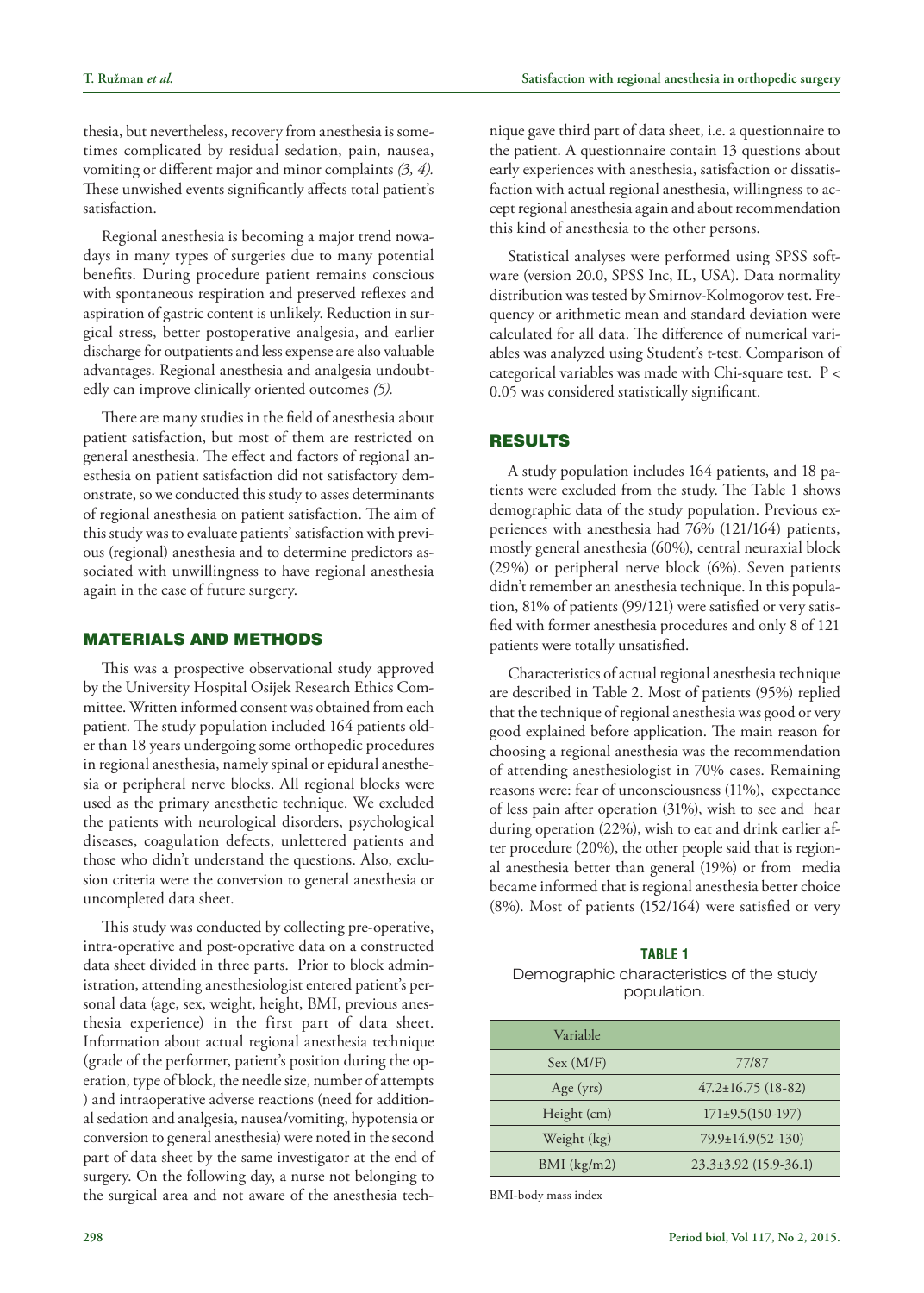thesia, but nevertheless, recovery from anesthesia is sometimes complicated by residual sedation, pain, nausea, vomiting or different major and minor complaints *(3, 4).* These unwished events significantly affects total patient's satisfaction.

Regional anesthesia is becoming a major trend nowadays in many types of surgeries due to many potential benefits. During procedure patient remains conscious with spontaneous respiration and preserved reflexes and aspiration of gastric content is unlikely. Reduction in surgical stress, better postoperative analgesia, and earlier discharge for outpatients and less expense are also valuable advantages. Regional anesthesia and analgesia undoubtedly can improve clinically oriented outcomes *(5).*

There are many studies in the field of anesthesia about patient satisfaction, but most of them are restricted on general anesthesia. The effect and factors of regional anesthesia on patient satisfaction did not satisfactory demonstrate, so we conducted this study to asses determinants of regional anesthesia on patient satisfaction. The aim of this study was to evaluate patients' satisfaction with previous (regional) anesthesia and to determine predictors associated with unwillingness to have regional anesthesia again in the case of future surgery.

# Materials and methods

This was a prospective observational study approved by the University Hospital Osijek Research Ethics Committee. Written informed consent was obtained from each patient. The study population included 164 patients older than 18 years undergoing some orthopedic procedures in regional anesthesia, namely spinal or epidural anesthesia or peripheral nerve blocks. All regional blocks were used as the primary anesthetic technique. We excluded the patients with neurological disorders, psychological diseases, coagulation defects, unlettered patients and those who didn't understand the questions. Also, exclusion criteria were the conversion to general anesthesia or uncompleted data sheet.

This study was conducted by collecting pre-operative, intra-operative and post-operative data on a constructed data sheet divided in three parts. Prior to block administration, attending anesthesiologist entered patient's personal data (age, sex, weight, height, BMI, previous anesthesia experience) in the first part of data sheet. Information about actual regional anesthesia technique (grade of the performer, patient's position during the operation, type of block, the needle size, number of attempts ) and intraoperative adverse reactions (need for additional sedation and analgesia, nausea/vomiting, hypotensia or conversion to general anesthesia) were noted in the second part of data sheet by the same investigator at the end of surgery. On the following day, a nurse not belonging to the surgical area and not aware of the anesthesia technique gave third part of data sheet, i.e. a questionnaire to the patient. A questionnaire contain 13 questions about early experiences with anesthesia, satisfaction or dissatisfaction with actual regional anesthesia, willingness to accept regional anesthesia again and about recommendation this kind of anesthesia to the other persons.

Statistical analyses were performed using SPSS software (version 20.0, SPSS Inc, IL, USA). Data normality distribution was tested by Smirnov-Kolmogorov test. Frequency or arithmetic mean and standard deviation were calculated for all data. The difference of numerical variables was analyzed using Student's t-test. Comparison of categorical variables was made with Chi-square test. P < 0.05 was considered statistically significant.

# Results

A study population includes 164 patients, and 18 patients were excluded from the study. The Table 1 shows demographic data of the study population. Previous experiences with anesthesia had 76% (121/164) patients, mostly general anesthesia (60%), central neuraxial block (29%) or peripheral nerve block (6%). Seven patients didn't remember an anesthesia technique. In this population, 81% of patients (99/121) were satisfied or very satisfied with former anesthesia procedures and only 8 of 121 patients were totally unsatisfied.

Characteristics of actual regional anesthesia technique are described in Table 2. Most of patients (95%) replied that the technique of regional anesthesia was good or very good explained before application. The main reason for choosing a regional anesthesia was the recommendation of attending anesthesiologist in 70% cases. Remaining reasons were: fear of unconsciousness (11%), expectance of less pain after operation (31%), wish to see and hear during operation (22%), wish to eat and drink earlier after procedure (20%), the other people said that is regional anesthesia better than general (19%) or from media became informed that is regional anesthesia better choice (8%). Most of patients (152/164) were satisfied or very

#### **Table 1**

Demographic characteristics of the study population.

| Variable      |                           |
|---------------|---------------------------|
| Sex (M/F)     | 77/87                     |
| Age $(yrs)$   | $47.2 \pm 16.75$ (18-82)  |
| Height (cm)   | $171\pm9.5(150-197)$      |
| Weight (kg)   | 79.9±14.9(52-130)         |
| $BMI$ (kg/m2) | $23.3\pm3.92$ (15.9-36.1) |

BMI-body mass index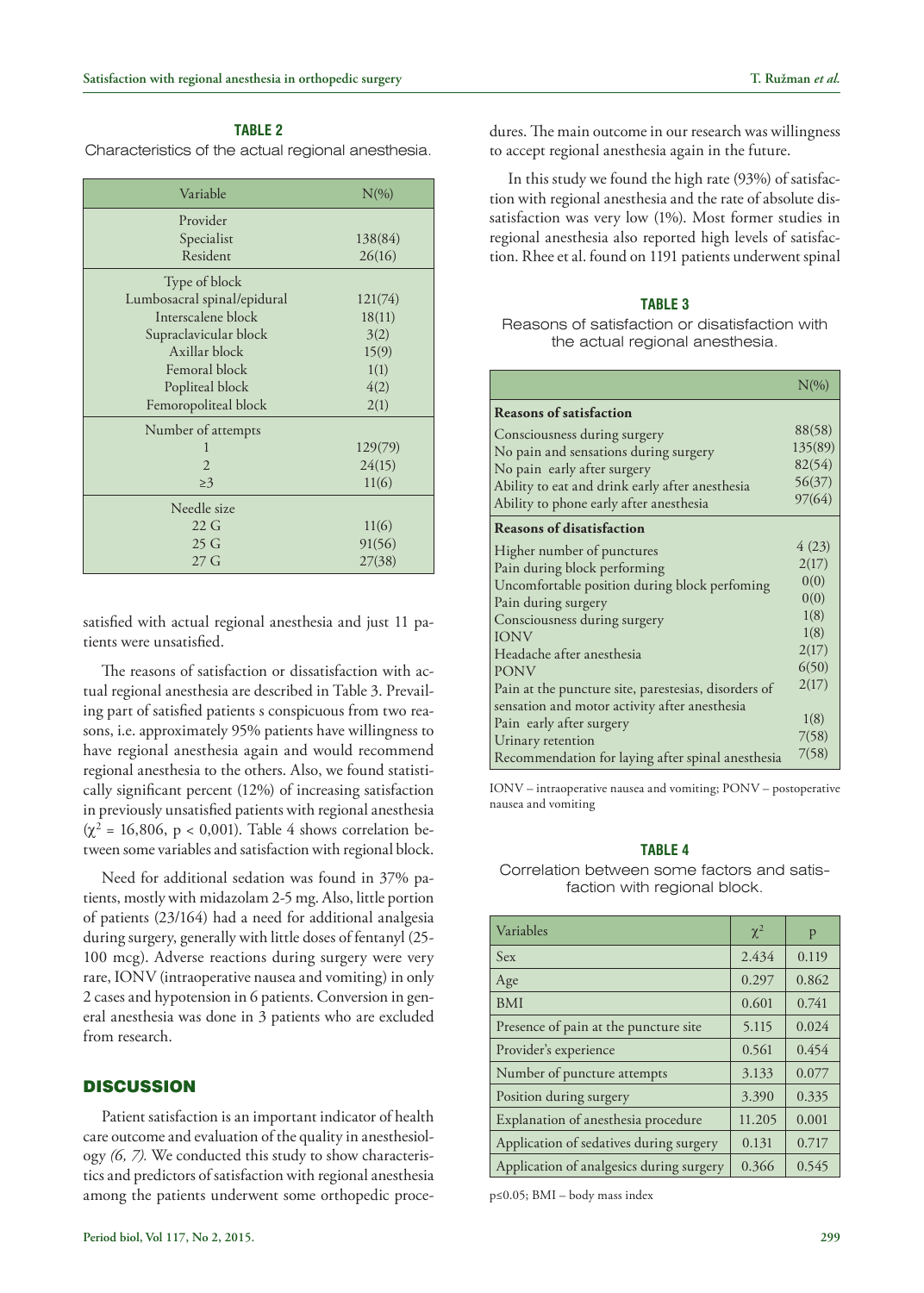# **Table 2**

Characteristics of the actual regional anesthesia.

| Variable                    | $N(\%)$ |  |
|-----------------------------|---------|--|
| Provider                    |         |  |
| Specialist                  | 138(84) |  |
| Resident                    | 26(16)  |  |
| Type of block               |         |  |
| Lumbosacral spinal/epidural | 121(74) |  |
| Interscalene block          | 18(11)  |  |
| Supraclavicular block       | 3(2)    |  |
| Axillar block               | 15(9)   |  |
| Femoral block               | 1(1)    |  |
| Popliteal block             | 4(2)    |  |
| Femoropoliteal block        | 2(1)    |  |
| Number of attempts          |         |  |
| 1                           | 129(79) |  |
| $\overline{2}$              | 24(15)  |  |
| $\geq$ 3                    | 11(6)   |  |
| Needle size                 |         |  |
| 22G                         | 11(6)   |  |
| 25 <sub>G</sub>             | 91(56)  |  |
| 27 <sub>G</sub>             | 27(38)  |  |

satisfied with actual regional anesthesia and just 11 patients were unsatisfied.

The reasons of satisfaction or dissatisfaction with actual regional anesthesia are described in Table 3. Prevailing part of satisfied patients s conspicuous from two reasons, i.e. approximately 95% patients have willingness to have regional anesthesia again and would recommend regional anesthesia to the others. Also, we found statistically significant percent (12%) of increasing satisfaction in previously unsatisfied patients with regional anesthesia  $(\chi^2 = 16,806, p < 0,001)$ . Table 4 shows correlation between some variables and satisfaction with regional block.

Need for additional sedation was found in 37% patients, mostly with midazolam 2-5 mg. Also, little portion of patients (23/164) had a need for additional analgesia during surgery, generally with little doses of fentanyl (25- 100 mcg). Adverse reactions during surgery were very rare, IONV (intraoperative nausea and vomiting) in only 2 cases and hypotension in 6 patients. Conversion in general anesthesia was done in 3 patients who are excluded from research.

# **DISCUSSION**

Patient satisfaction is an important indicator of health care outcome and evaluation of the quality in anesthesiology *(6, 7).* We conducted this study to show characteristics and predictors of satisfaction with regional anesthesia among the patients underwent some orthopedic procedures. The main outcome in our research was willingness to accept regional anesthesia again in the future.

In this study we found the high rate (93%) of satisfaction with regional anesthesia and the rate of absolute dissatisfaction was very low (1%). Most former studies in regional anesthesia also reported high levels of satisfaction. Rhee et al. found on 1191 patients underwent spinal

### **Table 3**

Reasons of satisfaction or disatisfaction with the actual regional anesthesia.

|                                                      | $N(\%)$ |
|------------------------------------------------------|---------|
| <b>Reasons of satisfaction</b>                       |         |
| Consciousness during surgery                         | 88(58)  |
| No pain and sensations during surgery                | 135(89) |
| No pain early after surgery                          | 82(54)  |
| Ability to eat and drink early after anesthesia      | 56(37)  |
| Ability to phone early after anesthesia              | 97(64)  |
| <b>Reasons of disatisfaction</b>                     |         |
| Higher number of punctures                           | 4(23)   |
| Pain during block performing                         | 2(17)   |
| Uncomfortable position during block perfoming        | 0(0)    |
| Pain during surgery                                  | 0(0)    |
| Consciousness during surgery                         | 1(8)    |
| <b>IONV</b>                                          | 1(8)    |
| Headache after anesthesia                            | 2(17)   |
| <b>PONV</b>                                          | 6(50)   |
| Pain at the puncture site, parestesias, disorders of | 2(17)   |
| sensation and motor activity after anesthesia        |         |
| Pain early after surgery                             | 1(8)    |
| Urinary retention                                    | 7(58)   |
| Recommendation for laying after spinal anesthesia    | 7(58)   |

IONV – intraoperative nausea and vomiting; PONV – postoperative nausea and vomiting

# **Table 4**

Correlation between some factors and satisfaction with regional block.

| Variables                                | $\chi^2$ | p     |
|------------------------------------------|----------|-------|
| Sex                                      | 2.434    | 0.119 |
| Age                                      | 0.297    | 0.862 |
| <b>BMI</b>                               | 0.601    | 0.741 |
| Presence of pain at the puncture site    | 5.115    | 0.024 |
| Provider's experience                    | 0.561    | 0.454 |
| Number of puncture attempts              | 3.133    | 0.077 |
| Position during surgery                  | 3.390    | 0.335 |
| Explanation of anesthesia procedure      | 11.205   | 0.001 |
| Application of sedatives during surgery  | 0.131    | 0.717 |
| Application of analgesics during surgery | 0.366    | 0.545 |

p≤0.05; BMI – body mass index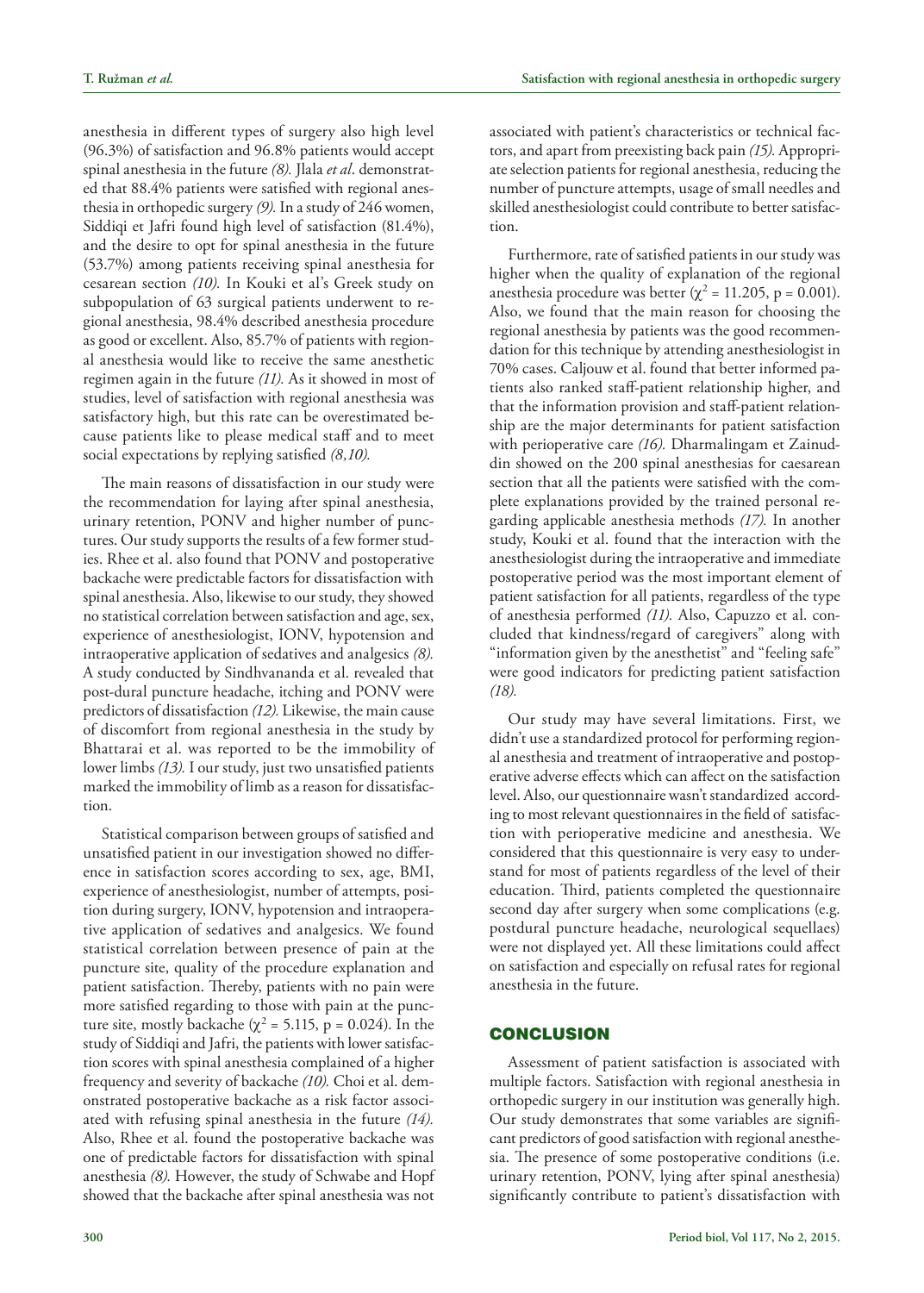anesthesia in different types of surgery also high level (96.3%) of satisfaction and 96.8% patients would accept spinal anesthesia in the future *(8).* Jlala *et al*. demonstrated that 88.4% patients were satisfied with regional anesthesia in orthopedic surgery *(9).* In a study of 246 women, Siddiqi et Jafri found high level of satisfaction (81.4%), and the desire to opt for spinal anesthesia in the future (53.7%) among patients receiving spinal anesthesia for cesarean section *(10).* In Kouki et al's Greek study on subpopulation of 63 surgical patients underwent to regional anesthesia, 98.4% described anesthesia procedure as good or excellent. Also, 85.7% of patients with regional anesthesia would like to receive the same anesthetic regimen again in the future *(11).* As it showed in most of studies, level of satisfaction with regional anesthesia was satisfactory high, but this rate can be overestimated because patients like to please medical staff and to meet social expectations by replying satisfied *(8,10).* 

The main reasons of dissatisfaction in our study were the recommendation for laying after spinal anesthesia, urinary retention, PONV and higher number of punctures. Our study supports the results of a few former studies. Rhee et al. also found that PONV and postoperative backache were predictable factors for dissatisfaction with spinal anesthesia. Also, likewise to our study, they showed no statistical correlation between satisfaction and age, sex, experience of anesthesiologist, IONV, hypotension and intraoperative application of sedatives and analgesics *(8).* A study conducted by Sindhvananda et al. revealed that post-dural puncture headache, itching and PONV were predictors of dissatisfaction *(12).* Likewise, the main cause of discomfort from regional anesthesia in the study by Bhattarai et al. was reported to be the immobility of lower limbs *(13).* I our study, just two unsatisfied patients marked the immobility of limb as a reason for dissatisfaction.

Statistical comparison between groups of satisfied and unsatisfied patient in our investigation showed no difference in satisfaction scores according to sex, age, BMI, experience of anesthesiologist, number of attempts, position during surgery, IONV, hypotension and intraoperative application of sedatives and analgesics. We found statistical correlation between presence of pain at the puncture site, quality of the procedure explanation and patient satisfaction. Thereby, patients with no pain were more satisfied regarding to those with pain at the puncture site, mostly backache ( $\chi^2$  = 5.115, p = 0.024). In the study of Siddiqi and Jafri, the patients with lower satisfaction scores with spinal anesthesia complained of a higher frequency and severity of backache *(10).* Choi et al. demonstrated postoperative backache as a risk factor associated with refusing spinal anesthesia in the future *(14).* Also, Rhee et al. found the postoperative backache was one of predictable factors for dissatisfaction with spinal anesthesia *(8).* However, the study of Schwabe and Hopf showed that the backache after spinal anesthesia was not

associated with patient's characteristics or technical factors, and apart from preexisting back pain *(15).* Appropriate selection patients for regional anesthesia, reducing the number of puncture attempts, usage of small needles and skilled anesthesiologist could contribute to better satisfaction.

Furthermore, rate of satisfied patients in our study was higher when the quality of explanation of the regional anesthesia procedure was better ( $\chi^2$  = 11.205, p = 0.001). Also, we found that the main reason for choosing the regional anesthesia by patients was the good recommendation for this technique by attending anesthesiologist in 70% cases. Caljouw et al. found that better informed patients also ranked staff-patient relationship higher, and that the information provision and staff-patient relationship are the major determinants for patient satisfaction with perioperative care *(16).* Dharmalingam et Zainuddin showed on the 200 spinal anesthesias for caesarean section that all the patients were satisfied with the complete explanations provided by the trained personal regarding applicable anesthesia methods *(17).* In another study, Kouki et al. found that the interaction with the anesthesiologist during the intraoperative and immediate postoperative period was the most important element of patient satisfaction for all patients, regardless of the type of anesthesia performed *(11).* Also, Capuzzo et al. concluded that kindness/regard of caregivers" along with "information given by the anesthetist" and "feeling safe" were good indicators for predicting patient satisfaction *(18).*

Our study may have several limitations. First, we didn't use a standardized protocol for performing regional anesthesia and treatment of intraoperative and postoperative adverse effects which can affect on the satisfaction level. Also, our questionnaire wasn't standardized according to most relevant questionnaires in the field of satisfaction with perioperative medicine and anesthesia. We considered that this questionnaire is very easy to understand for most of patients regardless of the level of their education. Third, patients completed the questionnaire second day after surgery when some complications (e.g. postdural puncture headache, neurological sequellaes) were not displayed yet. All these limitations could affect on satisfaction and especially on refusal rates for regional anesthesia in the future.

# **CONCLUSION**

Assessment of patient satisfaction is associated with multiple factors. Satisfaction with regional anesthesia in orthopedic surgery in our institution was generally high. Our study demonstrates that some variables are significant predictors of good satisfaction with regional anesthesia. The presence of some postoperative conditions (i.e. urinary retention, PONV, lying after spinal anesthesia) significantly contribute to patient's dissatisfaction with